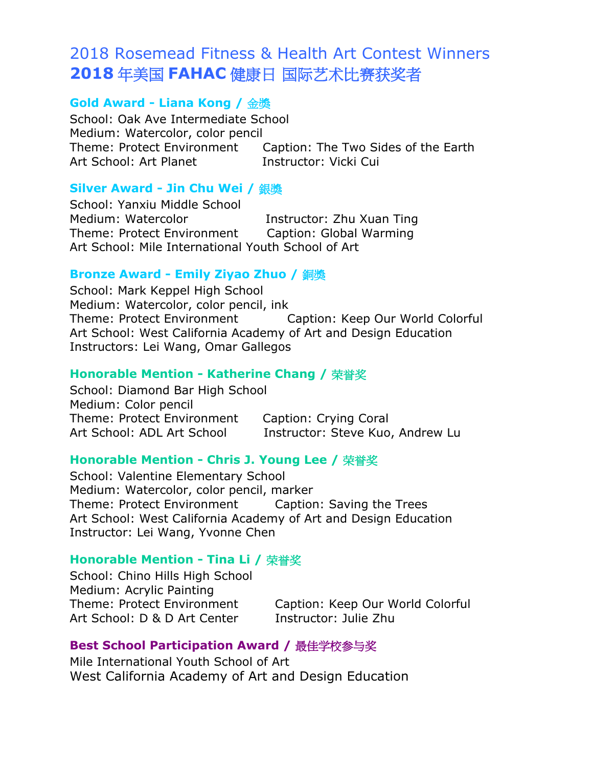# 2018 Rosemead Fitness & Health Art Contest Winners **2018 年美国 FAHAC 健康日 国际艺术比赛获奖者**

#### **Gold Award - Liana Kong / 金獎**

School: Oak Ave Intermediate School Medium: Watercolor, color pencil Theme: Protect Environment Caption: The Two Sides of the Earth Art School: Art Planet Instructor: Vicki Cui

#### **Silver Award - Jin Chu Wei / 銀獎**

School: Yanxiu Middle School Medium: Watercolor **Instructor: Zhu Xuan Ting** Theme: Protect Environment Caption: Global Warming Art School: Mile International Youth School of Art

### **Bronze Award - Emily Ziyao Zhuo / 銅獎**

School: Mark Keppel High School Medium: Watercolor, color pencil, ink Theme: Protect Environment Caption: Keep Our World Colorful Art School: West California Academy of Art and Design Education Instructors: Lei Wang, Omar Gallegos

#### **Honorable Mention - Katherine Chang / 荣誉奖**

School: Diamond Bar High School Medium: Color pencil Theme: Protect Environment Caption: Crying Coral Art School: ADL Art School Instructor: Steve Kuo, Andrew Lu

#### **Honorable Mention - Chris J. Young Lee / 荣誉奖**

School: Valentine Elementary School Medium: Watercolor, color pencil, marker Theme: Protect Environment Caption: Saving the Trees Art School: West California Academy of Art and Design Education Instructor: Lei Wang, Yvonne Chen

#### **Honorable Mention - Tina Li / 荣誉奖**

School: Chino Hills High School Medium: Acrylic Painting Art School: D & D Art Center Instructor: Julie Zhu

Theme: Protect Environment Caption: Keep Our World Colorful

### **Best School Participation Award / 最佳学校参与奖**

Mile International Youth School of Art West California Academy of Art and Design Education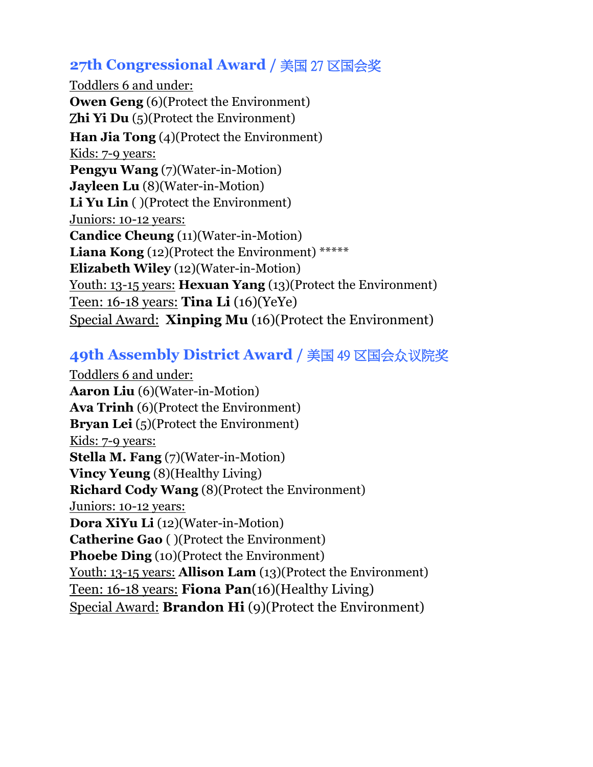# **27th Congressional Award / 美国 27 区国会奖**

Toddlers 6 and under: **Owen Geng** (6)(Protect the Environment) **Zhi Yi Du** (5)(Protect the Environment) **Han Jia Tong** (4)(Protect the Environment) Kids: 7-9 years: **Pengyu Wang** (7)(Water-in-Motion) **Jayleen Lu** (8)(Water-in-Motion) **Li Yu Lin** ( )(Protect the Environment) Juniors: 10-12 years: **Candice Cheung** (11)(Water-in-Motion) **Liana Kong** (12)(Protect the Environment) \*\*\*\*\* **Elizabeth Wiley** (12)(Water-in-Motion) Youth: 13-15 years: **Hexuan Yang** (13)(Protect the Environment) Teen: 16-18 years: **Tina Li** (16)(YeYe) Special Award: **Xinping Mu** (16)(Protect the Environment)

## **49th Assembly District Award / 美国 49 区国会众议院奖**

Toddlers 6 and under: **Aaron Liu** (6)(Water-in-Motion) **Ava Trinh** (6)(Protect the Environment) **Bryan Lei** (5)(Protect the Environment) Kids: 7-9 years: **Stella M. Fang** (7)(Water-in-Motion) **Vincy Yeung** (8)(Healthy Living) **Richard Cody Wang** (8)(Protect the Environment) Juniors: 10-12 years: **Dora XiYu Li** (12)(Water-in-Motion) **Catherine Gao** ( )(Protect the Environment) **Phoebe Ding** (10)(Protect the Environment) Youth: 13-15 years: **Allison Lam** (13)(Protect the Environment) Teen: 16-18 years: **Fiona Pan**(16)(Healthy Living) Special Award: **Brandon Hi** (9)(Protect the Environment)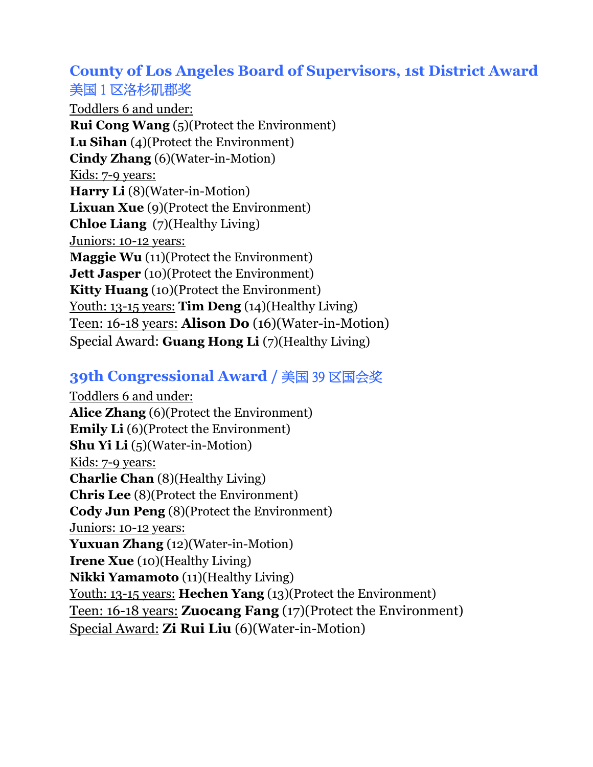### **County of Los Angeles Board of Supervisors, 1st District Award 美国 1 区洛杉矶郡奖**

Toddlers 6 and under: **Rui Cong Wang** (5)(Protect the Environment) **Lu Sihan** (4)(Protect the Environment) **Cindy Zhang** (6)(Water-in-Motion) Kids: 7-9 years: **Harry Li** (8)(Water-in-Motion) **Lixuan Xue** (9)(Protect the Environment) **Chloe Liang** (7)(Healthy Living) Juniors: 10-12 years: **Maggie Wu** (11)(Protect the Environment) **Jett Jasper** (10)(Protect the Environment) **Kitty Huang** (10)(Protect the Environment) Youth: 13-15 years: **Tim Deng** (14)(Healthy Living) Teen: 16-18 years: **Alison Do** (16)(Water-in-Motion) Special Award: **Guang Hong Li** (7)(Healthy Living)

# **39th Congressional Award / 美国 39 区国会奖**

Toddlers 6 and under: **Alice Zhang** (6)(Protect the Environment) **Emily Li** (6)(Protect the Environment) **Shu Yi Li** (5)(Water-in-Motion) Kids: 7-9 years: **Charlie Chan** (8)(Healthy Living) **Chris Lee** (8)(Protect the Environment) **Cody Jun Peng** (8)(Protect the Environment) Juniors: 10-12 years: **Yuxuan Zhang** (12)(Water-in-Motion) **Irene Xue** (10)(Healthy Living) **Nikki Yamamoto** (11)(Healthy Living) Youth: 13-15 years: **Hechen Yang** (13)(Protect the Environment) Teen: 16-18 years: **Zuocang Fang** (17)(Protect the Environment) Special Award: **Zi Rui Liu** (6)(Water-in-Motion)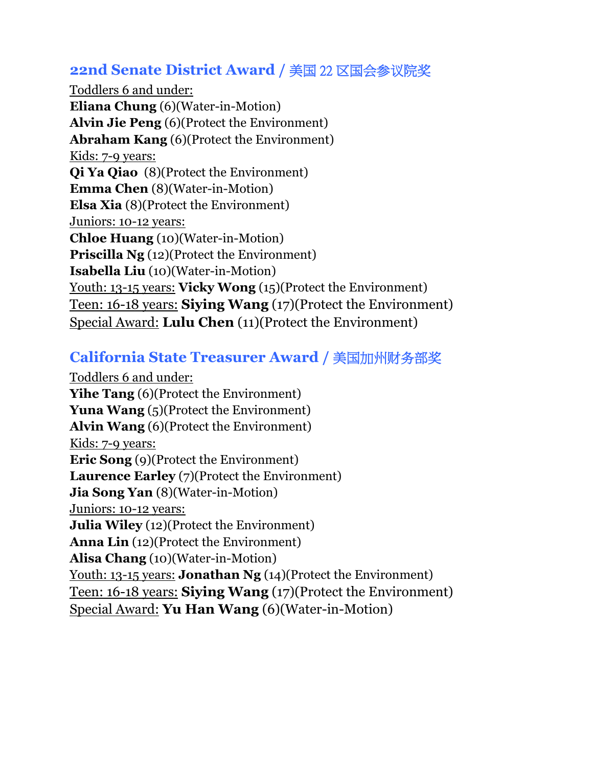### **22nd Senate District Award / 美国 22 区国会参议院奖**

Toddlers 6 and under: **Eliana Chung** (6)(Water-in-Motion) **Alvin Jie Peng** (6)(Protect the Environment) **Abraham Kang** (6)(Protect the Environment) Kids: 7-9 years: **Qi Ya Qiao** (8)(Protect the Environment) **Emma Chen** (8)(Water-in-Motion) **Elsa Xia** (8)(Protect the Environment) Juniors: 10-12 years: **Chloe Huang** (10)(Water-in-Motion) **Priscilla Ng** (12)(Protect the Environment) **Isabella Liu** (10)(Water-in-Motion) Youth: 13-15 years: **Vicky Wong** (15)(Protect the Environment) Teen: 16-18 years: **Siying Wang** (17)(Protect the Environment) Special Award: **Lulu Chen** (11)(Protect the Environment)

### **California State Treasurer Award / 美国加州财务部奖**

Toddlers 6 and under: **Yihe Tang** (6)(Protect the Environment) **Yuna Wang** (5)(Protect the Environment) **Alvin Wang** (6)(Protect the Environment) Kids: 7-9 years: **Eric Song** (9)(Protect the Environment) **Laurence Earley** (7)(Protect the Environment) **Jia Song Yan** (8)(Water-in-Motion) Juniors: 10-12 years: **Julia Wiley** (12)(Protect the Environment) **Anna Lin** (12)(Protect the Environment) **Alisa Chang** (10)(Water-in-Motion) Youth: 13-15 years: **Jonathan Ng** (14)(Protect the Environment) Teen: 16-18 years: **Siying Wang** (17)(Protect the Environment) Special Award: **Yu Han Wang** (6)(Water-in-Motion)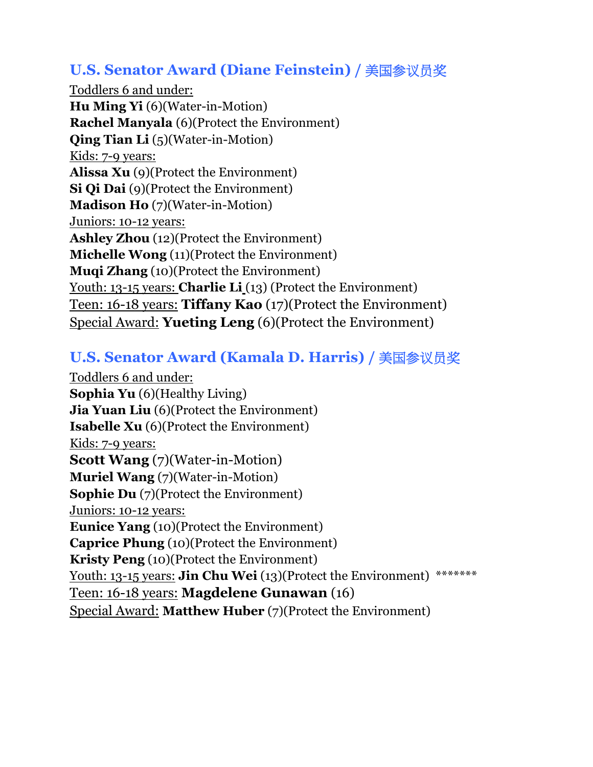## **U.S. Senator Award (Diane Feinstein) / 美国参议员奖**

Toddlers 6 and under: **Hu Ming Yi** (6)(Water-in-Motion) **Rachel Manyala** (6)(Protect the Environment) **Qing Tian Li** (5)(Water-in-Motion) Kids: 7-9 years: **Alissa Xu** (9)(Protect the Environment) **Si Qi Dai** (9)(Protect the Environment) **Madison Ho** (7)(Water-in-Motion) Juniors: 10-12 years: **Ashley Zhou** (12)(Protect the Environment) **Michelle Wong** (11)(Protect the Environment) **Muqi Zhang** (10)(Protect the Environment) Youth: 13-15 years: **Charlie Li** (13) (Protect the Environment) Teen: 16-18 years: **Tiffany Kao** (17)(Protect the Environment) Special Award: **Yueting Leng** (6)(Protect the Environment)

### **U.S. Senator Award (Kamala D. Harris) / 美国参议员奖**

Toddlers 6 and under: **Sophia Yu** (6)(Healthy Living) **Jia Yuan Liu** (6)(Protect the Environment) **Isabelle Xu** (6)(Protect the Environment) Kids: 7-9 years: **Scott Wang** (7)(Water-in-Motion) **Muriel Wang** (7)(Water-in-Motion) **Sophie Du** (7)(Protect the Environment) Juniors: 10-12 years: **Eunice Yang** (10)(Protect the Environment) **Caprice Phung** (10)(Protect the Environment) **Kristy Peng** (10)(Protect the Environment) Youth: 13-15 years: **Jin Chu Wei** (13)(Protect the Environment) \*\*\*\*\*\*\* Teen: 16-18 years: **Magdelene Gunawan** (16) Special Award: **Matthew Huber** (7)(Protect the Environment)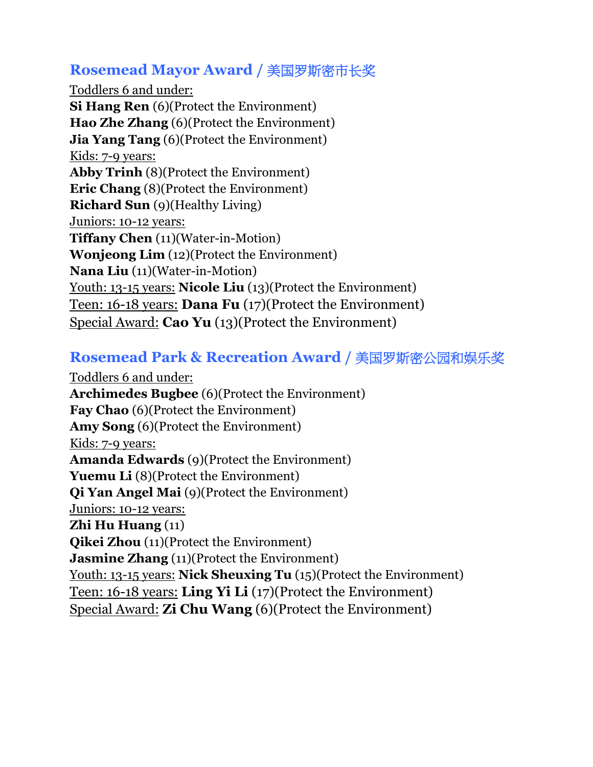## **Rosemead Mayor Award / 美国罗斯密市长奖**

Toddlers 6 and under: **Si Hang Ren** (6)(Protect the Environment) **Hao Zhe Zhang** (6)(Protect the Environment) **Jia Yang Tang** (6)(Protect the Environment) Kids: 7-9 years: **Abby Trinh** (8)(Protect the Environment) **Eric Chang** (8)(Protect the Environment) **Richard Sun** (9)(Healthy Living) Juniors: 10-12 years: **Tiffany Chen** (11)(Water-in-Motion) **Wonjeong Lim** (12)(Protect the Environment) **Nana Liu** (11)(Water-in-Motion) Youth: 13-15 years: **Nicole Liu** (13)(Protect the Environment) Teen: 16-18 years: **Dana Fu** (17)(Protect the Environment) Special Award: **Cao Yu** (13)(Protect the Environment)

### **Rosemead Park & Recreation Award / 美国罗斯密公园和娱乐奖**

Toddlers 6 and under: **Archimedes Bugbee** (6)(Protect the Environment) **Fay Chao** (6)(Protect the Environment) **Amy Song** (6)(Protect the Environment) Kids: 7-9 years: **Amanda Edwards** (9)(Protect the Environment) **Yuemu Li** (8)(Protect the Environment) **Qi Yan Angel Mai** (9)(Protect the Environment) Juniors: 10-12 years: **Zhi Hu Huang** (11) **Qikei Zhou** (11)(Protect the Environment) **Jasmine Zhang** (11)(Protect the Environment) Youth: 13-15 years: **Nick Sheuxing Tu** (15)(Protect the Environment) Teen: 16-18 years: **Ling Yi Li** (17)(Protect the Environment) Special Award: **Zi Chu Wang** (6)(Protect the Environment)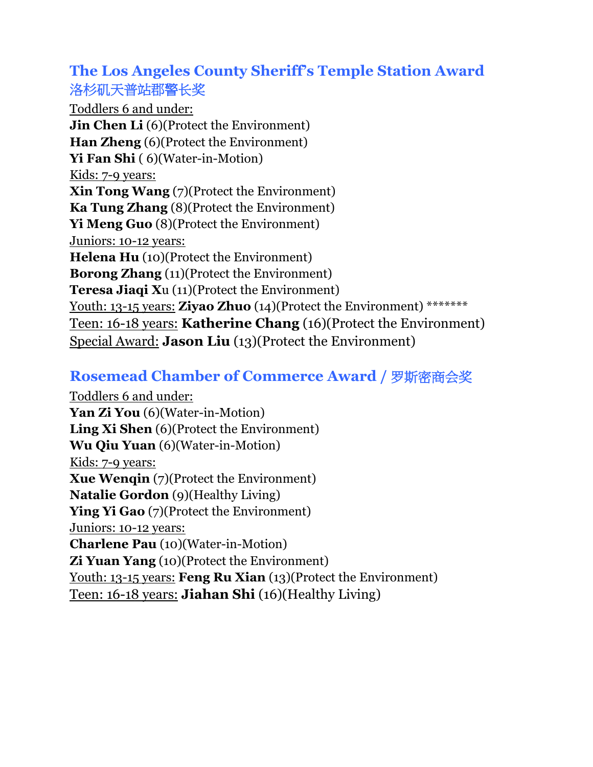# **The Los Angeles County Sheriff's Temple Station Award 洛杉矶天普站郡警长奖**

Toddlers 6 and under: **Jin Chen Li** (6)(Protect the Environment) **Han Zheng** (6)(Protect the Environment) **Yi Fan Shi** ( 6)(Water-in-Motion) Kids: 7-9 years: **Xin Tong Wang** (7)(Protect the Environment) **Ka Tung Zhang** (8)(Protect the Environment) **Yi Meng Guo** (8)(Protect the Environment) Juniors: 10-12 years: **Helena Hu** (10)(Protect the Environment) **Borong Zhang** (11)(Protect the Environment) **Teresa Jiaqi X**u (11)(Protect the Environment) Youth: 13-15 years: **Ziyao Zhuo** (14)(Protect the Environment) \*\*\*\*\*\*\* Teen: 16-18 years: **Katherine Chang** (16)(Protect the Environment) Special Award: **Jason Liu** (13)(Protect the Environment)

# **Rosemead Chamber of Commerce Award / 罗斯密商会奖**

Toddlers 6 and under: **Yan Zi You** (6)(Water-in-Motion) **Ling Xi Shen** (6)(Protect the Environment) **Wu Qiu Yuan** (6)(Water-in-Motion) Kids: 7-9 years: **Xue Wenqin** (7)(Protect the Environment) **Natalie Gordon** (9)(Healthy Living) **Ying Yi Gao** (7)(Protect the Environment) Juniors: 10-12 years: **Charlene Pau** (10)(Water-in-Motion) **Zi Yuan Yang** (10)(Protect the Environment) Youth: 13-15 years: **Feng Ru Xian** (13)(Protect the Environment) Teen: 16-18 years: **Jiahan Shi** (16)(Healthy Living)